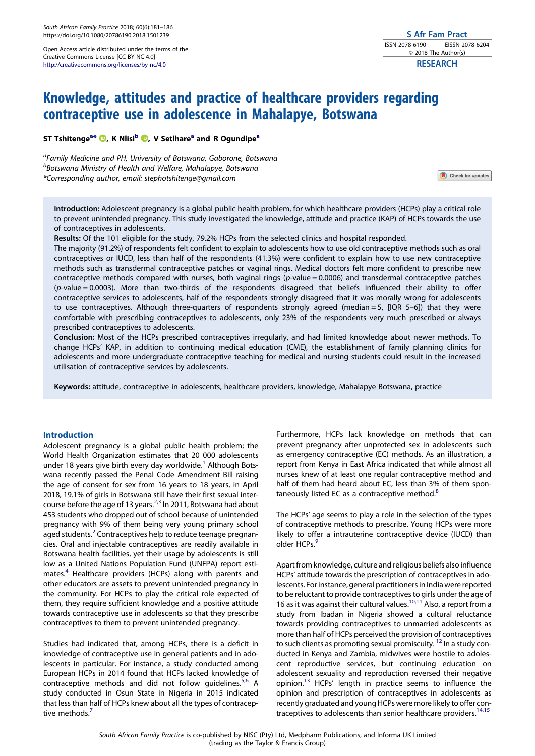<span id="page-0-0"></span>Open Access article distributed under the terms of the Creative Commons License [CC BY-NC 4.0] <http://creativecommons.org/licenses/by-nc/4.0>

# Knowledge, attitudes and practice of healthcare providers regarding contraceptive use in adolescence in Mahalapye, Botswana

ST Tshitenge<sup>a\*</sup> (D[,](http://orcid.org/0000-0003-0406-5808) K Nlisi<sup>b</sup> D, V Setlhare<sup>a</sup> and R Ogundipe<sup>a</sup>

<sup>a</sup>Family Medicine and PH, University of Botswana, Gaborone, Botswana <sup>b</sup>Botswana Ministry of Health and Welfare, Mahalapye, Botswana \*Corresponding author, email: [stephotshitenge@gmail.com](mailto:stephotshitenge@gmail.com)

Check for updates

Introduction: Adolescent pregnancy is a global public health problem, for which healthcare providers (HCPs) play a critical role to prevent unintended pregnancy. This study investigated the knowledge, attitude and practice (KAP) of HCPs towards the use of contraceptives in adolescents.

Results: Of the 101 eligible for the study, 79.2% HCPs from the selected clinics and hospital responded.

The majority (91.2%) of respondents felt confident to explain to adolescents how to use old contraceptive methods such as oral contraceptives or IUCD, less than half of the respondents (41.3%) were confident to explain how to use new contraceptive methods such as transdermal contraceptive patches or vaginal rings. Medical doctors felt more confident to prescribe new contraceptive methods compared with nurses, both vaginal rings (p-value = 0.0006) and transdermal contraceptive patches (p-value = 0.0003). More than two-thirds of the respondents disagreed that beliefs influenced their ability to offer contraceptive services to adolescents, half of the respondents strongly disagreed that it was morally wrong for adolescents to use contraceptives. Although three-quarters of respondents strongly agreed (median = 5, [IQR 5–6]) that they were comfortable with prescribing contraceptives to adolescents, only 23% of the respondents very much prescribed or always prescribed contraceptives to adolescents.

Conclusion: Most of the HCPs prescribed contraceptives irregularly, and had limited knowledge about newer methods. To change HCPs' KAP, in addition to continuing medical education (CME), the establishment of family planning clinics for adolescents and more undergraduate contraceptive teaching for medical and nursing students could result in the increased utilisation of contraceptive services by adolescents.

Keywords: attitude, contraceptive in adolescents, healthcare providers, knowledge, Mahalapye Botswana, practice

## Introduction

Adolescent pregnancy is a global public health problem; the World Health Organization estimates that 20 000 adolescents under 18 years give birth every day worldwide.<sup>1</sup> Although Botswana recently passed the Penal Code Amendment Bill raising the age of consent for sex from 16 years to 18 years, in April 2018, 19.1% of girls in Botswana still have their first sexual inter-course before the age of 13 years.<sup>[2,3](#page-5-0)</sup> In 2011, Botswana had about 453 students who dropped out of school because of unintended pregnancy with 9% of them being very young primary school aged students.<sup>[2](#page-5-0)</sup> Contraceptives help to reduce teenage pregnancies. Oral and injectable contraceptives are readily available in Botswana health facilities, yet their usage by adolescents is still low as a United Nations Population Fund (UNFPA) report esti-mates.<sup>[4](#page-5-0)</sup> Healthcare providers (HCPs) along with parents and other educators are assets to prevent unintended pregnancy in the community. For HCPs to play the critical role expected of them, they require sufficient knowledge and a positive attitude towards contraceptive use in adolescents so that they prescribe contraceptives to them to prevent unintended pregnancy.

Studies had indicated that, among HCPs, there is a deficit in knowledge of contraceptive use in general patients and in adolescents in particular. For instance, a study conducted among European HCPs in 2014 found that HCPs lacked knowledge of contraceptive methods and did not follow guidelines.<sup>5,6</sup> A study conducted in Osun State in Nigeria in 2015 indicated that less than half of HCPs knew about all the types of contracep-tive methods.<sup>[7](#page-5-0)</sup>

Furthermore, HCPs lack knowledge on methods that can prevent pregnancy after unprotected sex in adolescents such as emergency contraceptive (EC) methods. As an illustration, a report from Kenya in East Africa indicated that while almost all nurses knew of at least one regular contraceptive method and half of them had heard about EC, less than 3% of them spon-taneously listed EC as a contraceptive method.<sup>[8](#page-5-0)</sup>

The HCPs' age seems to play a role in the selection of the types of contraceptive methods to prescribe. Young HCPs were more likely to offer a intrauterine contraceptive device (IUCD) than older HCPs.<sup>[9](#page-5-0)</sup>

Apart from knowledge, culture and religious beliefs also influence HCPs' attitude towards the prescription of contraceptives in adolescents. For instance, general practitioners in India were reported to be reluctant to provide contraceptives to girls under the age of 16 as it was against their cultural values.<sup>10,11</sup> Also, a report from a study from Ibadan in Nigeria showed a cultural reluctance towards providing contraceptives to unmarried adolescents as more than half of HCPs perceived the provision of contraceptives to such clients as promoting sexual promiscuity.<sup>[12](#page-5-0)</sup> In a study conducted in Kenya and Zambia, midwives were hostile to adolescent reproductive services, but continuing education on adolescent sexuality and reproduction reversed their negative opinion[.13](#page-5-0) HCPs' length in practice seems to influence the opinion and prescription of contraceptives in adolescents as recently graduated and young HCPs were more likely to offer contraceptives to adolescents than senior healthcare providers.<sup>14,15</sup>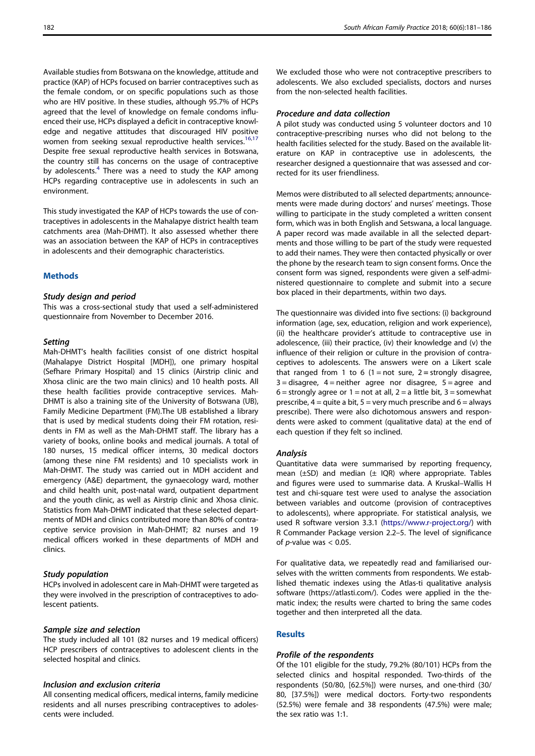<span id="page-1-0"></span>Available studies from Botswana on the knowledge, attitude and practice (KAP) of HCPs focused on barrier contraceptives such as the female condom, or on specific populations such as those who are HIV positive. In these studies, although 95.7% of HCPs agreed that the level of knowledge on female condoms influenced their use, HCPs displayed a deficit in contraceptive knowledge and negative attitudes that discouraged HIV positive women from seeking sexual reproductive health services.<sup>16,[17](#page-5-0)</sup> Despite free sexual reproductive health services in Botswana, the country still has concerns on the usage of contraceptive by adolescents.<sup>[4](#page-5-0)</sup> There was a need to study the KAP among HCPs regarding contraceptive use in adolescents in such an environment.

This study investigated the KAP of HCPs towards the use of contraceptives in adolescents in the Mahalapye district health team catchments area (Mah-DHMT). It also assessed whether there was an association between the KAP of HCPs in contraceptives in adolescents and their demographic characteristics.

## **Methods**

#### Study design and period

This was a cross-sectional study that used a self-administered questionnaire from November to December 2016.

#### **Setting**

Mah-DHMT's health facilities consist of one district hospital (Mahalapye District Hospital [MDH]), one primary hospital (Sefhare Primary Hospital) and 15 clinics (Airstrip clinic and Xhosa clinic are the two main clinics) and 10 health posts. All these health facilities provide contraceptive services. Mah-DHMT is also a training site of the University of Botswana (UB), Family Medicine Department (FM).The UB established a library that is used by medical students doing their FM rotation, residents in FM as well as the Mah-DHMT staff. The library has a variety of books, online books and medical journals. A total of 180 nurses, 15 medical officer interns, 30 medical doctors (among these nine FM residents) and 10 specialists work in Mah-DHMT. The study was carried out in MDH accident and emergency (A&E) department, the gynaecology ward, mother and child health unit, post-natal ward, outpatient department and the youth clinic, as well as Airstrip clinic and Xhosa clinic. Statistics from Mah-DHMT indicated that these selected departments of MDH and clinics contributed more than 80% of contraceptive service provision in Mah-DHMT; 82 nurses and 19 medical officers worked in these departments of MDH and clinics.

## Study population

HCPs involved in adolescent care in Mah-DHMT were targeted as they were involved in the prescription of contraceptives to adolescent patients.

#### Sample size and selection

The study included all 101 (82 nurses and 19 medical officers) HCP prescribers of contraceptives to adolescent clients in the selected hospital and clinics.

#### Inclusion and exclusion criteria

All consenting medical officers, medical interns, family medicine residents and all nurses prescribing contraceptives to adolescents were included.

We excluded those who were not contraceptive prescribers to adolescents. We also excluded specialists, doctors and nurses from the non-selected health facilities.

# Procedure and data collection

A pilot study was conducted using 5 volunteer doctors and 10 contraceptive-prescribing nurses who did not belong to the health facilities selected for the study. Based on the available literature on KAP in contraceptive use in adolescents, the researcher designed a questionnaire that was assessed and corrected for its user friendliness.

Memos were distributed to all selected departments; announcements were made during doctors' and nurses' meetings. Those willing to participate in the study completed a written consent form, which was in both English and Setswana, a local language. A paper record was made available in all the selected departments and those willing to be part of the study were requested to add their names. They were then contacted physically or over the phone by the research team to sign consent forms. Once the consent form was signed, respondents were given a self-administered questionnaire to complete and submit into a secure box placed in their departments, within two days.

The questionnaire was divided into five sections: (i) background information (age, sex, education, religion and work experience), (ii) the healthcare provider's attitude to contraceptive use in adolescence, (iii) their practice, (iv) their knowledge and (v) the influence of their religion or culture in the provision of contraceptives to adolescents. The answers were on a Likert scale that ranged from 1 to 6 (1 = not sure, 2 = strongly disagree,  $3 =$  disagree,  $4 =$  neither agree nor disagree,  $5 =$  agree and  $6 =$  strongly agree or  $1 =$  not at all,  $2 =$  a little bit,  $3 =$  somewhat prescribe,  $4 =$  quite a bit,  $5 =$  very much prescribe and  $6 =$  always prescribe). There were also dichotomous answers and respondents were asked to comment (qualitative data) at the end of each question if they felt so inclined.

#### Analysis

Quantitative data were summarised by reporting frequency, mean  $(\pm SD)$  and median  $(\pm IQR)$  where appropriate. Tables and figures were used to summarise data. A Kruskal–Wallis H test and chi-square test were used to analyse the association between variables and outcome (provision of contraceptives to adolescents), where appropriate. For statistical analysis, we used R software version 3.3.1 ([https://www.r-project.org/\)](https://www.r-project.org/) with R Commander Package version 2.2–5. The level of significance of *p*-value was  $< 0.05$ .

For qualitative data, we repeatedly read and familiarised ourselves with the written comments from respondents. We established thematic indexes using the Atlas-ti qualitative analysis software (https://atlasti.com/). Codes were applied in the thematic index; the results were charted to bring the same codes together and then interpreted all the data.

## **Results**

#### Profile of the respondents

Of the 101 eligible for the study, 79.2% (80/101) HCPs from the selected clinics and hospital responded. Two-thirds of the respondents (50/80, [62.5%]) were nurses, and one-third (30/ 80, [37.5%]) were medical doctors. Forty-two respondents (52.5%) were female and 38 respondents (47.5%) were male; the sex ratio was 1:1.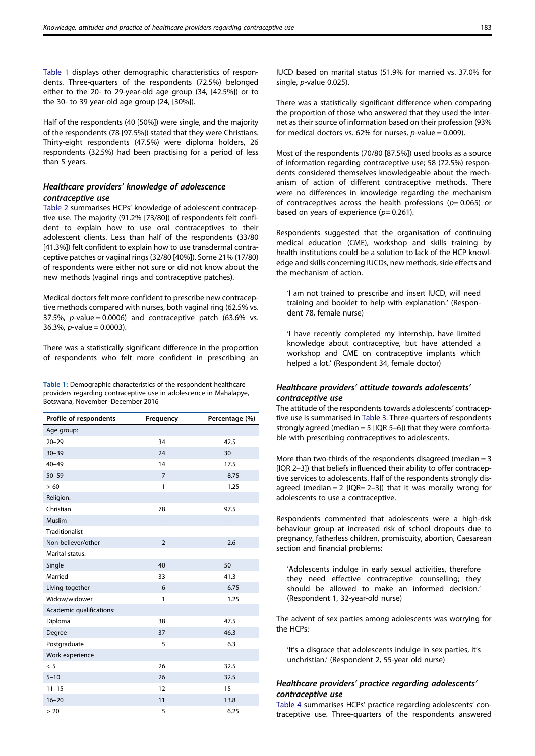Table 1 displays other demographic characteristics of respondents. Three-quarters of the respondents (72.5%) belonged either to the 20- to 29-year-old age group (34, [42.5%]) or to the 30- to 39 year-old age group (24, [30%]).

Half of the respondents (40 [50%]) were single, and the majority of the respondents (78 [97.5%]) stated that they were Christians. Thirty-eight respondents (47.5%) were diploma holders, 26 respondents (32.5%) had been practising for a period of less than 5 years.

# Healthcare providers' knowledge of adolescence contraceptive use

[Table 2](#page-3-0) summarises HCPs' knowledge of adolescent contraceptive use. The majority (91.2% [73/80]) of respondents felt confident to explain how to use oral contraceptives to their adolescent clients. Less than half of the respondents (33/80 [41.3%]) felt confident to explain how to use transdermal contraceptive patches or vaginal rings (32/80 [40%]). Some 21% (17/80) of respondents were either not sure or did not know about the new methods (vaginal rings and contraceptive patches).

Medical doctors felt more confident to prescribe new contraceptive methods compared with nurses, both vaginal ring (62.5% vs. 37.5%, *p*-value = 0.0006) and contraceptive patch  $(63.6\%$  vs. 36.3%, *p*-value = 0.0003).

There was a statistically significant difference in the proportion of respondents who felt more confident in prescribing an

Table 1: Demographic characteristics of the respondent healthcare providers regarding contraceptive use in adolescence in Mahalapye, Botswana, November–December 2016

| Profile of respondents   | Frequency      | Percentage (%) |
|--------------------------|----------------|----------------|
| Age group:               |                |                |
| $20 - 29$                | 34             | 42.5           |
| $30 - 39$                | 24             | 30             |
| $40 - 49$                | 14             | 17.5           |
| $50 - 59$                | $\overline{7}$ | 8.75           |
| >60                      | 1              | 1.25           |
| Religion:                |                |                |
| Christian                | 78             | 97.5           |
| Muslim                   |                | -              |
| Traditionalist           |                |                |
| Non-believer/other       | $\overline{2}$ | 2.6            |
| Marital status:          |                |                |
| Single                   | 40             | 50             |
| Married                  | 33             | 41.3           |
| Living together          | 6              | 6.75           |
| Widow/widower            | 1              | 1.25           |
| Academic qualifications: |                |                |
| Diploma                  | 38             | 47.5           |
| Degree                   | 37             | 46.3           |
| Postgraduate             | 5              | 6.3            |
| Work experience          |                |                |
| < 5                      | 26             | 32.5           |
| $5 - 10$                 | 26             | 32.5           |
| $11 - 15$                | 12             | 15             |
| $16 - 20$                | 11             | 13.8           |
| > 20                     | 5              | 6.25           |

IUCD based on marital status (51.9% for married vs. 37.0% for single, p-value 0.025).

There was a statistically significant difference when comparing the proportion of those who answered that they used the Internet as their source of information based on their profession (93% for medical doctors vs. 62% for nurses,  $p$ -value = 0.009).

Most of the respondents (70/80 [87.5%]) used books as a source of information regarding contraceptive use; 58 (72.5%) respondents considered themselves knowledgeable about the mechanism of action of different contraceptive methods. There were no differences in knowledge regarding the mechanism of contraceptives across the health professions ( $p= 0.065$ ) or based on years of experience  $(p= 0.261)$ .

Respondents suggested that the organisation of continuing medical education (CME), workshop and skills training by health institutions could be a solution to lack of the HCP knowledge and skills concerning IUCDs, new methods, side effects and the mechanism of action.

'I am not trained to prescribe and insert IUCD, will need training and booklet to help with explanation.' (Respondent 78, female nurse)

'I have recently completed my internship, have limited knowledge about contraceptive, but have attended a workshop and CME on contraceptive implants which helped a lot.' (Respondent 34, female doctor)

# Healthcare providers' attitude towards adolescents' contraceptive use

The attitude of the respondents towards adolescents' contraceptive use is summarised in [Table 3.](#page-3-0) Three-quarters of respondents strongly agreed (median  $=$  5 [IQR 5-6]) that they were comfortable with prescribing contraceptives to adolescents.

More than two-thirds of the respondents disagreed (median  $=$  3 [IQR 2–3]) that beliefs influenced their ability to offer contraceptive services to adolescents. Half of the respondents strongly disagreed (median =  $2$  [IQR= 2-3]) that it was morally wrong for adolescents to use a contraceptive.

Respondents commented that adolescents were a high-risk behaviour group at increased risk of school dropouts due to pregnancy, fatherless children, promiscuity, abortion, Caesarean section and financial problems:

'Adolescents indulge in early sexual activities, therefore they need effective contraceptive counselling; they should be allowed to make an informed decision.' (Respondent 1, 32-year-old nurse)

The advent of sex parties among adolescents was worrying for the HCPs:

'It's a disgrace that adolescents indulge in sex parties, it's unchristian.' (Respondent 2, 55-year old nurse)

# Healthcare providers' practice regarding adolescents' contraceptive use

[Table 4](#page-4-0) summarises HCPs' practice regarding adolescents' contraceptive use. Three-quarters of the respondents answered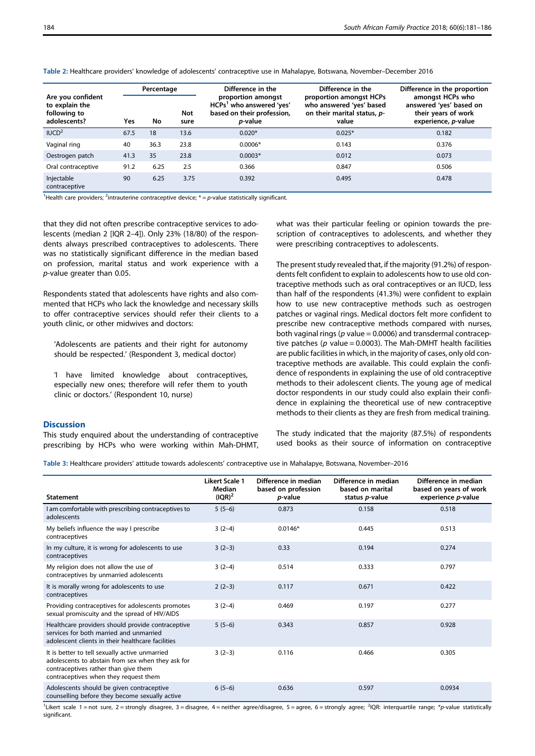<span id="page-3-0"></span>

Table 2: Healthcare providers' knowledge of adolescents' contraceptive use in Mahalapye, Botswana, November–December 2016

|                                                                     |      | Percentage |                    | Difference in the                                                                                           | Difference in the                                                                           | Difference in the proportion                                                              |
|---------------------------------------------------------------------|------|------------|--------------------|-------------------------------------------------------------------------------------------------------------|---------------------------------------------------------------------------------------------|-------------------------------------------------------------------------------------------|
| Are you confident<br>to explain the<br>following to<br>adolescents? | Yes  | No         | <b>Not</b><br>sure | proportion amongst<br>HCPs <sup>1</sup> who answered 'yes'<br>based on their profession,<br><i>p</i> -value | proportion amongst HCPs<br>who answered 'yes' based<br>on their marital status, p-<br>value | amongst HCPs who<br>answered 'yes' based on<br>their years of work<br>experience, p-value |
| IUCD <sup>2</sup>                                                   | 67.5 | 18         | 13.6               | $0.020*$                                                                                                    | $0.025*$                                                                                    | 0.182                                                                                     |
| Vaginal ring                                                        | 40   | 36.3       | 23.8               | $0.0006*$                                                                                                   | 0.143                                                                                       | 0.376                                                                                     |
| Oestrogen patch                                                     | 41.3 | 35         | 23.8               | $0.0003*$                                                                                                   | 0.012                                                                                       | 0.073                                                                                     |
| Oral contraceptive                                                  | 91.2 | 6.25       | 2.5                | 0.366                                                                                                       | 0.847                                                                                       | 0.506                                                                                     |
| Injectable<br>contraceptive                                         | 90   | 6.25       | 3.75               | 0.392                                                                                                       | 0.495                                                                                       | 0.478                                                                                     |

<sup>1</sup>Health care providers; <sup>2</sup>intrauterine contraceptive device;  $* = p$ -value statistically significant.

that they did not often prescribe contraceptive services to adolescents (median 2 [IQR 2–4]). Only 23% (18/80) of the respondents always prescribed contraceptives to adolescents. There was no statistically significant difference in the median based on profession, marital status and work experience with a p-value greater than 0.05.

Respondents stated that adolescents have rights and also commented that HCPs who lack the knowledge and necessary skills to offer contraceptive services should refer their clients to a youth clinic, or other midwives and doctors:

'Adolescents are patients and their right for autonomy should be respected.' (Respondent 3, medical doctor)

'I have limited knowledge about contraceptives, especially new ones; therefore will refer them to youth clinic or doctors.' (Respondent 10, nurse)

#### **Discussion**

This study enquired about the understanding of contraceptive prescribing by HCPs who were working within Mah-DHMT, what was their particular feeling or opinion towards the prescription of contraceptives to adolescents, and whether they were prescribing contraceptives to adolescents.

The present study revealed that, if the majority (91.2%) of respondents felt confident to explain to adolescents how to use old contraceptive methods such as oral contraceptives or an IUCD, less than half of the respondents (41.3%) were confident to explain how to use new contraceptive methods such as oestrogen patches or vaginal rings. Medical doctors felt more confident to prescribe new contraceptive methods compared with nurses, both vaginal rings ( $p$  value = 0.0006) and transdermal contraceptive patches ( $p$  value = 0.0003). The Mah-DMHT health facilities are public facilities in which, in the majority of cases, only old contraceptive methods are available. This could explain the confidence of respondents in explaining the use of old contraceptive methods to their adolescent clients. The young age of medical doctor respondents in our study could also explain their confidence in explaining the theoretical use of new contraceptive methods to their clients as they are fresh from medical training.

The study indicated that the majority (87.5%) of respondents used books as their source of information on contraceptive

Table 3: Healthcare providers' attitude towards adolescents' contraceptive use in Mahalapye, Botswana, November–2016

| <b>Statement</b>                                                                                                                                                                     | <b>Likert Scale 1</b><br>Median<br>$\left(\text{IQR}\right)^2$ | Difference in median<br>based on profession<br><i>p</i> -value | Difference in median<br>based on marital<br>status <i>p</i> -value | Difference in median<br>based on years of work<br>experience p-value |
|--------------------------------------------------------------------------------------------------------------------------------------------------------------------------------------|----------------------------------------------------------------|----------------------------------------------------------------|--------------------------------------------------------------------|----------------------------------------------------------------------|
| I am comfortable with prescribing contraceptives to<br>adolescents                                                                                                                   | $5(5-6)$                                                       | 0.873                                                          | 0.158                                                              | 0.518                                                                |
| My beliefs influence the way I prescribe<br>contraceptives                                                                                                                           | $3(2-4)$                                                       | $0.0146*$                                                      | 0.445                                                              | 0.513                                                                |
| In my culture, it is wrong for adolescents to use<br>contraceptives                                                                                                                  | $3(2-3)$                                                       | 0.33                                                           | 0.194                                                              | 0.274                                                                |
| My religion does not allow the use of<br>contraceptives by unmarried adolescents                                                                                                     | $3(2-4)$                                                       | 0.514                                                          | 0.333                                                              | 0.797                                                                |
| It is morally wrong for adolescents to use<br>contraceptives                                                                                                                         | $2(2-3)$                                                       | 0.117                                                          | 0.671                                                              | 0.422                                                                |
| Providing contraceptives for adolescents promotes<br>sexual promiscuity and the spread of HIV/AIDS                                                                                   | $3(2-4)$                                                       | 0.469                                                          | 0.197                                                              | 0.277                                                                |
| Healthcare providers should provide contraceptive<br>services for both married and unmarried<br>adolescent clients in their healthcare facilities                                    | $5(5-6)$                                                       | 0.343                                                          | 0.857                                                              | 0.928                                                                |
| It is better to tell sexually active unmarried<br>adolescents to abstain from sex when they ask for<br>contraceptives rather than give them<br>contraceptives when they request them | $3(2-3)$                                                       | 0.116                                                          | 0.466                                                              | 0.305                                                                |
| Adolescents should be given contraceptive<br>counselling before they become sexually active                                                                                          | $6(5-6)$                                                       | 0.636                                                          | 0.597                                                              | 0.0934                                                               |

<sup>1</sup>Likert scale 1 = not sure, 2 = strongly disagree, 3 = disagree, 4 = neither agree/disagree, 5 = agree, 6 = strongly agree; <sup>2</sup>IQR: interquartile range; \*p-value statistically significant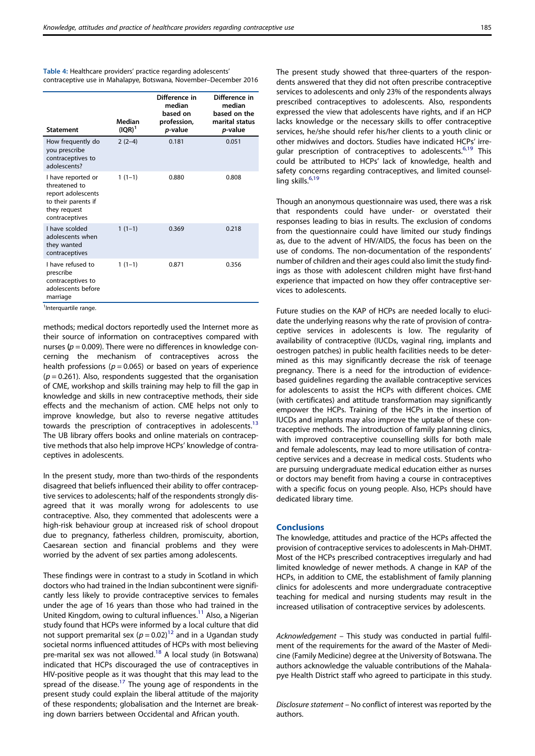<span id="page-4-0"></span>Table 4: Healthcare providers' practice regarding adolescents' contraceptive use in Mahalapye, Botswana, November–December 2016

| <b>Statement</b>                                                                                                   | Median<br>$(IQR)^1$ | Difference in<br>median<br>based on<br>profession,<br>p-value | Difference in<br>median<br>based on the<br>marital status<br>p-value |
|--------------------------------------------------------------------------------------------------------------------|---------------------|---------------------------------------------------------------|----------------------------------------------------------------------|
| How frequently do<br>you prescribe<br>contraceptives to<br>adolescents?                                            | $2(2-4)$            | 0.181                                                         | 0.051                                                                |
| I have reported or<br>threatened to<br>report adolescents<br>to their parents if<br>they request<br>contraceptives | $1(1-1)$            | 0.880                                                         | 0.808                                                                |
| I have scolded<br>adolescents when<br>they wanted<br>contraceptives                                                | $1(1-1)$            | 0.369                                                         | 0.218                                                                |
| I have refused to<br>prescribe<br>contraceptives to<br>adolescents before<br>marriage<br>1.                        | $1(1-1)$            | 0.871                                                         | 0.356                                                                |

<sup>1</sup>Interquartile range.

methods; medical doctors reportedly used the Internet more as their source of information on contraceptives compared with nurses ( $p = 0.009$ ). There were no differences in knowledge concerning the mechanism of contraceptives across the health professions ( $p = 0.065$ ) or based on years of experience  $(p = 0.261)$ . Also, respondents suggested that the organisation of CME, workshop and skills training may help to fill the gap in knowledge and skills in new contraceptive methods, their side effects and the mechanism of action. CME helps not only to improve knowledge, but also to reverse negative attitudes towards the prescription of contraceptives in adolescents.<sup>[13](#page-5-0)</sup> The UB library offers books and online materials on contraceptive methods that also help improve HCPs' knowledge of contraceptives in adolescents.

In the present study, more than two-thirds of the respondents disagreed that beliefs influenced their ability to offer contraceptive services to adolescents; half of the respondents strongly disagreed that it was morally wrong for adolescents to use contraceptive. Also, they commented that adolescents were a high-risk behaviour group at increased risk of school dropout due to pregnancy, fatherless children, promiscuity, abortion, Caesarean section and financial problems and they were worried by the advent of sex parties among adolescents.

These findings were in contrast to a study in Scotland in which doctors who had trained in the Indian subcontinent were significantly less likely to provide contraceptive services to females under the age of 16 years than those who had trained in the United Kingdom, owing to cultural influences.<sup>[11](#page-5-0)</sup> Also, a Nigerian study found that HCPs were informed by a local culture that did not support premarital sex ( $p = 0.02$ )<sup>[12](#page-5-0)</sup> and in a Ugandan study societal norms influenced attitudes of HCPs with most believing pre-marital sex was not allowed.[18](#page-5-0) A local study (in Botswana) indicated that HCPs discouraged the use of contraceptives in HIV-positive people as it was thought that this may lead to the spread of the disease.<sup>[17](#page-5-0)</sup> The young age of respondents in the present study could explain the liberal attitude of the majority of these respondents; globalisation and the Internet are breaking down barriers between Occidental and African youth.

The present study showed that three-quarters of the respondents answered that they did not often prescribe contraceptive services to adolescents and only 23% of the respondents always prescribed contraceptives to adolescents. Also, respondents expressed the view that adolescents have rights, and if an HCP lacks knowledge or the necessary skills to offer contraceptive services, he/she should refer his/her clients to a youth clinic or other midwives and doctors. Studies have indicated HCPs' irre-gular prescription of contraceptives to adolescents.<sup>[6](#page-5-0),[19](#page-5-0)</sup> This could be attributed to HCPs' lack of knowledge, health and safety concerns regarding contraceptives, and limited counsel-ling skills.<sup>[6,19](#page-5-0)</sup>

Though an anonymous questionnaire was used, there was a risk that respondents could have under- or overstated their responses leading to bias in results. The exclusion of condoms from the questionnaire could have limited our study findings as, due to the advent of HIV/AIDS, the focus has been on the use of condoms. The non-documentation of the respondents' number of children and their ages could also limit the study findings as those with adolescent children might have first-hand experience that impacted on how they offer contraceptive services to adolescents.

Future studies on the KAP of HCPs are needed locally to elucidate the underlying reasons why the rate of provision of contraceptive services in adolescents is low. The regularity of availability of contraceptive (IUCDs, vaginal ring, implants and oestrogen patches) in public health facilities needs to be determined as this may significantly decrease the risk of teenage pregnancy. There is a need for the introduction of evidencebased guidelines regarding the available contraceptive services for adolescents to assist the HCPs with different choices. CME (with certificates) and attitude transformation may significantly empower the HCPs. Training of the HCPs in the insertion of IUCDs and implants may also improve the uptake of these contraceptive methods. The introduction of family planning clinics, with improved contraceptive counselling skills for both male and female adolescents, may lead to more utilisation of contraceptive services and a decrease in medical costs. Students who are pursuing undergraduate medical education either as nurses or doctors may benefit from having a course in contraceptives with a specific focus on young people. Also, HCPs should have dedicated library time.

#### Conclusions

The knowledge, attitudes and practice of the HCPs affected the provision of contraceptive services to adolescents in Mah-DHMT. Most of the HCPs prescribed contraceptives irregularly and had limited knowledge of newer methods. A change in KAP of the HCPs, in addition to CME, the establishment of family planning clinics for adolescents and more undergraduate contraceptive teaching for medical and nursing students may result in the increased utilisation of contraceptive services by adolescents.

Acknowledgement – This study was conducted in partial fulfilment of the requirements for the award of the Master of Medicine (Family Medicine) degree at the University of Botswana. The authors acknowledge the valuable contributions of the Mahalapye Health District staff who agreed to participate in this study.

Disclosure statement – No conflict of interest was reported by the authors.